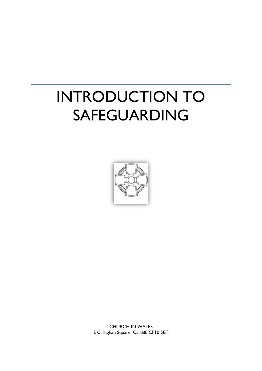# INTRODUCTION TO SAFEGUARDING



CHURCH IN WALES 2 Callaghan Square, Cardiff, CF10 5BT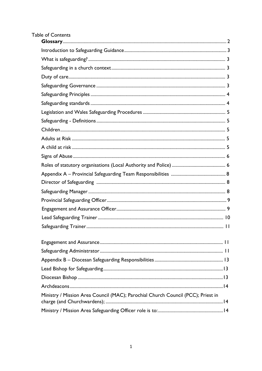# Table of Contents

| Ministry / Mission Area Council (MAC); Parochial Church Council (PCC); Priest in |
|----------------------------------------------------------------------------------|
|                                                                                  |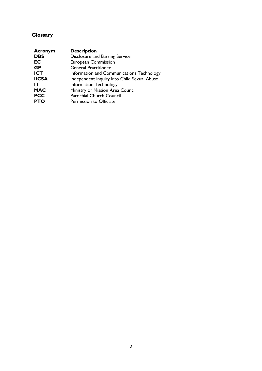# <span id="page-2-0"></span>**Glossary**

| <b>Acronym</b> | <b>Description</b>                          |
|----------------|---------------------------------------------|
| <b>DBS</b>     | Disclosure and Barring Service              |
| EC             | <b>European Commission</b>                  |
| <b>GP</b>      | <b>General Practitioner</b>                 |
| <b>ICT</b>     | Information and Communications Technology   |
| <b>IICSA</b>   | Independent Inquiry into Child Sexual Abuse |
| IΤ             | <b>Information Technology</b>               |
| <b>MAC</b>     | Ministry or Mission Area Council            |
| <b>PCC</b>     | Parochial Church Council                    |
| <b>PTO</b>     | Permission to Officiate                     |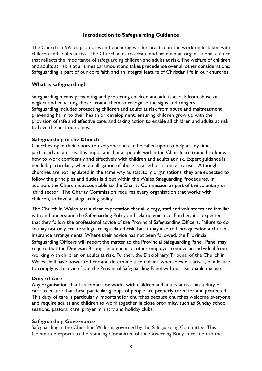#### **Introduction to Safeguarding Guidance**

<span id="page-3-0"></span>The Church in Wales promotes and encourages safer practice in the work undertaken with children and adults at risk. The Church aims to create and maintain an organisational culture that reflects the importance of safeguarding children and adults at risk. The welfare of children and adults at risk is at all times paramount and takes precedence over all other considerations. Safeguarding is part of our core faith and an integral feature of Christian life in our churches.

#### **What is safeguarding?**

Safeguarding means preventing and protecting children and adults at risk from abuse or neglect and educating those around them to recognise the signs and dangers. Safeguarding includes protecting children and adults at risk from abuse and maltreatment, preventing harm to their health or development, ensuring children grow up with the provision of safe and effective care, and taking action to enable all children and adults at risk to have the best outcomes.

#### **Safeguarding in the Church**

Churches open their doors to everyone and can be called upon to help at any time, particularly in a crisis. It is important that all people within the Church are trained to know how to work confidently and effectively with children and adults at risk. Expert guidance is needed, particularly when an allegation of abuse is raised or a concern arises. Although churches are not regulated in the same way as statutory organisations, they are expected to follow the principles and duties laid out within the Wales Safeguarding Procedures. In addition, the Church is accountable to the Charity Commission as part of the voluntary or 'third sector'. The Charity Commission requires every organisation that works with children, to have a safeguarding policy.

The Church in Wales sets a clear expectation that all clergy, staff and volunteers are familiar with and understand the Safeguarding Policy and related guidance. Further, it is expected that they follow the professional advice of the Provincial Safeguarding Officers. Failure to do so may not only create safeguarding-related risk, but it may also call into question a church's insurance arrangements. Where their advice has not been followed, the Provincial Safeguarding Officers will report the matter to the Provincial Safeguarding Panel. Panel may require that the Diocesan Bishop, Incumbent or other employer remove an individual from working with children or adults at risk. Further, the Disciplinary Tribunal of the Church in Wales shall have power to hear and determine a complaint, whensoever it arises, of a failure to comply with advice from the Provincial Safeguarding Panel without reasonable excuse.

#### **Duty of care**

Any organisation that has contact or works with children and adults at risk has a duty of care to ensure that these particular groups of people are properly cared for and protected. This duty of care is particularly important for churches because churches welcome everyone and require adults and children to work together in close proximity, such as Sunday school sessions, pastoral care, prayer ministry and holiday clubs.

# **Safeguarding Governance**

Safeguarding in the Church in Wales is governed by the Safeguarding Committee. This Committee reports to the Standing Committee of the Governing Body in relation to the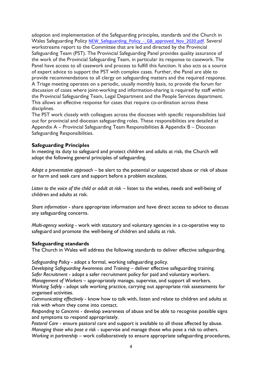adoption and implementation of the Safeguarding principles, standards and the Church in Wales Safeguarding Policy [NEW\\_Safeguarding\\_Policy\\_-\\_GB\\_approved\\_Nov\\_2020.pdf](https://www.churchinwales.org.uk/documents/1555/2064_-_NEW_Safeguarding_Policy_only_i.pdf). Several workstreams report to the Committee that are led and directed by the Provincial Safeguarding Team (PST). The Provincial Safeguarding Panel provides quality assurance of the work of the Provincial Safeguarding Team, in particular its response to casework. The Panel have access to all casework and process to fulfill this function. It also acts as a source of expert advice to support the PST with complex cases. Further, the Panel are able to provide recommendations to all clergy on safeguarding matters and the required response. A Triage meeting operates on a periodic, usually monthly basis, to provide the forum for discussion of cases where joint-working and information-sharing is required by staff within the Provincial Safeguarding Team, Legal Department and the People Services department. This allows an effective response for cases that require co-ordination across these disciplines.

The PST work closely with colleagues across the dioceses with specific responsibilities laid out for provincial and diocesan safeguarding roles. These responsibilities are detailed at Appendix A – Provincial Safeguarding Team Responsibilities & Appendix B – Diocesan Safeguarding Responsibilities.

#### **Safeguarding Principles**

In meeting its duty to safeguard and protect children and adults at risk, the Church will adopt the following general principles of safeguarding.

*Adopt a preventative approach* – be alert to the potential or suspected abuse or risk of abuse or harm and seek care and support before a problem escalates.

*Listen to the voice of the child or adult at risk* – listen to the wishes, needs and well-being of children and adults at risk.

*Share information* - share appropriate information and have direct access to advice to discuss any safeguarding concerns.

*Multi-agency working* - work with statutory and voluntary agencies in a co-operative way to safeguard and promote the well-being of children and adults at risk.

#### **Safeguarding standards**

The Church in Wales will address the following standards to deliver effective safeguarding.

*Safeguarding Policy* - adopt a formal, working safeguarding policy.

*Developing Safeguarding Awareness and Training* – deliver effective safeguarding training. *Safer Recruitment* - adopt a safer recruitment policy for paid and voluntary workers.

*Management of Workers* – appropriately manage, supervise, and support all workers.

*Working Safely* - adopt safe working practice, carrying out appropriate risk assessments for organised activities.

*Communicating effectively* - know how to talk with, listen and relate to children and adults at risk with whom they come into contact.

*Responding to Concerns* - develop awareness of abuse and be able to recognise possible signs and symptoms to respond appropriately.

*Pastoral Care* - ensure pastoral care and support is available to all those affected by abuse. *Managing those who pose a risk* - supervise and manage those who pose a risk to others. *Working in partnership* – work collaboratively to ensure appropriate safeguarding procedures,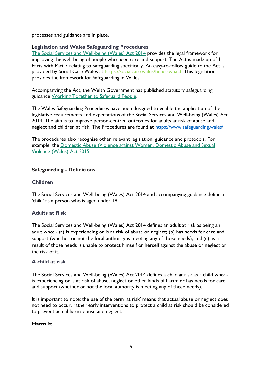processes and guidance are in place.

#### L**egislation and Wales Safeguarding Procedures**

[The Social Services and Well-being \(Wales\) Act 2014](https://www.legislation.gov.uk/anaw/2014/4/contents) provides the legal framework for improving the well-being of people who need care and support. The Act is made up of 11 Parts with Part 7 relating to Safeguarding specifically. An easy-to-follow guide to the Act is provided by Social Care Wales at [https://socialcare.wales/hub/sswbact.](https://socialcare.wales/hub/sswbact) This legislation provides the framework for Safeguarding in Wales.

Accompanying the Act, the Welsh Government has published statutory safeguarding guidance [Working Together to Safeguard People.](https://gov.wales/safeguarding-guidance)

The Wales Safeguarding Procedures have been designed to enable the application of the legislative requirements and expectations of the Social Services and Well-being (Wales) Act 2014. The aim is to improve person-centred outcomes for adults at risk of abuse and neglect and children at risk. The Procedures are found at<https://www.safeguarding.wales/>

The procedures also recognise other relevant legislation, guidance and protocols. For example, the [Domestic Abuse \(Violence against Women, Domestic Abuse and Sexual](https://www.legislation.gov.uk/anaw/2015/3/contents)  [Violence \(Wales\) Act 2015.](https://www.legislation.gov.uk/anaw/2015/3/contents)

# **Safeguarding - Definitions**

#### **Children**

The Social Services and Well-being (Wales) Act 2014 and accompanying guidance define a 'child' as a person who is aged under 18.

# **Adults at Risk**

The Social Services and Well-being (Wales) Act 2014 defines an adult at risk as being an adult who: - (a) is experiencing or is at risk of abuse or neglect; (b) has needs for care and support (whether or not the local authority is meeting any of those needs); and (c) as a result of those needs is unable to protect himself or herself against the abuse or neglect or the risk of it.

#### **A child at risk**

The Social Services and Well-being (Wales) Act 2014 defines a child at risk as a child who: is experiencing or is at risk of abuse, neglect or other kinds of harm; or has needs for care and support (whether or not the local authority is meeting any of those needs).

It is important to note: the use of the term 'at risk' means that actual abuse or neglect does not need to occur, rather early interventions to protect a child at risk should be considered to prevent actual harm, abuse and neglect.

#### **Harm** is: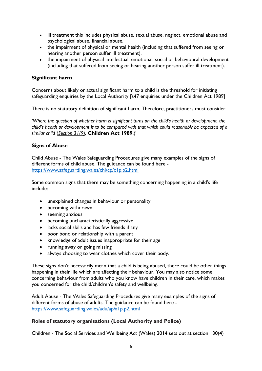- ill treatment this includes physical abuse, sexual abuse, neglect, emotional abuse and psychological abuse, financial abuse.
- the impairment of physical or mental health (including that suffered from seeing or hearing another person suffer ill treatment).
- the impairment of physical intellectual, emotional, social or behavioural development (including that suffered from seeing or hearing another person suffer ill treatment).

#### **Significant harm**

Concerns about likely or actual significant harm to a child is the threshold for initiating safeguarding enquiries by the Local Authority [s47 enquiries under the Children Act 1989]

There is no statutory definition of significant harm. Therefore, practitioners must consider:

*'Where the question of whether harm is significant turns on the child's health or development, the child's health or development is to be compared with that which could reasonably be expected of a similar child* (*[Section 31\(9\)](https://uk.practicallaw.thomsonreuters.com/4-511-1473?originationContext=document&transitionType=PLDocumentLink&contextData=(sc.Default))*, **Children Act 1989**.)'

#### **Signs of Abuse**

Child Abuse - The Wales Safeguarding Procedures give many examples of the signs of different forms of child abuse. The guidance can be found here <https://www.safeguarding.wales/chi/cp/c1p.p2.html>

Some common signs that there may be something concerning happening in a child's life include:

- unexplained changes in behaviour or personality
- becoming withdrawn
- seeming anxious
- becoming uncharacteristically aggressive
- lacks social skills and has few friends if any
- poor bond or relationship with a parent
- knowledge of adult issues inappropriate for their age
- running away or going missing
- always choosing to wear clothes which cover their body.

These signs don't necessarily mean that a child is being abused, there could be other things happening in their life which are affecting their behaviour. You may also notice some concerning behaviour from adults who you know have children in their care, which makes you concerned for the child/children's safety and wellbeing.

Adult Abuse - The Wales Safeguarding Procedures give many examples of the signs of different forms of abuse of adults. The guidance can be found here <https://www.safeguarding.wales/adu/ap/a1p.p2.html>

#### **Roles of statutory organisations (Local Authority and Police)**

Children - The Social Services and Wellbeing Act (Wales) 2014 sets out at section 130(4)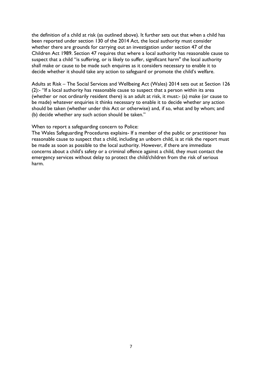the definition of a child at risk (as outlined above). It further sets out that when a child has been reported under section 130 of the 2014 Act, the local authority must consider whether there are grounds for carrying out an investigation under section 47 of the Children Act 1989. Section 47 requires that where a local authority has reasonable cause to suspect that a child "is suffering, or is likely to suffer, significant harm" the local authority shall make or cause to be made such enquires as it considers necessary to enable it to decide whether it should take any action to safeguard or promote the child's welfare.

Adults at Risk – The Social Services and Wellbeing Act (Wales) 2014 sets out at Section 126 (2):- "If a local authority has reasonable cause to suspect that a person within its area (whether or not ordinarily resident there) is an adult at risk, it must:- (a) make (or cause to be made) whatever enquiries it thinks necessary to enable it to decide whether any action should be taken (whether under this Act or otherwise) and, if so, what and by whom; and (b) decide whether any such action should be taken."

When to report a safeguarding concern to Police:

The Wales Safeguarding Procedures explains- If a member of the public or practitioner has reasonable cause to suspect that a child, including an unborn child, is at risk the report must be made as soon as possible to the local authority. However, if there are immediate concerns about a child's safety or a criminal offence against a child, they must contact the emergency services without delay to protect the child/children from the risk of serious harm.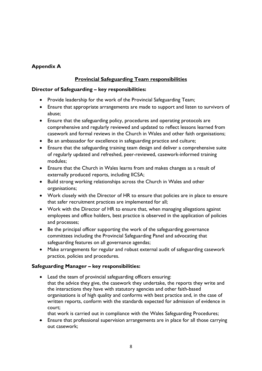# <span id="page-8-0"></span>**Appendix A**

# **Provincial Safeguarding Team responsibilities**

#### **Director of Safeguarding – key responsibilities:**

- Provide leadership for the work of the Provincial Safeguarding Team;
- Ensure that appropriate arrangements are made to support and listen to survivors of abuse;
- Ensure that the safeguarding policy, procedures and operating protocols are comprehensive and regularly reviewed and updated to reflect lessons learned from casework and formal reviews in the Church in Wales and other faith organisations;
- Be an ambassador for excellence in safeguarding practice and culture;
- Ensure that the safeguarding training team design and deliver a comprehensive suite of regularly updated and refreshed, peer-reviewed, casework-informed training modules;
- Ensure that the Church in Wales learns from and makes changes as a result of externally produced reports, including IICSA;
- Build strong working relationships across the Church in Wales and other organisations;
- Work closely with the Director of HR to ensure that policies are in place to ensure that safer recruitment practices are implemented for all;
- Work with the Director of HR to ensure that, when managing allegations against employees and office holders, best practice is observed in the application of policies and processes;
- Be the principal officer supporting the work of the safeguarding governance committees including the Provincial Safeguarding Panel and advocating that safeguarding features on all governance agendas;
- Make arrangements for regular and robust external audit of safeguarding casework practice, policies and procedures.

# **Safeguarding Manager – key responsibilities:**

- Lead the team of provincial safeguarding officers ensuring: that the advice they give, the casework they undertake, the reports they write and the interactions they have with statutory agencies and other faith-based organisations is of high quality and conforms with best practice and, in the case of written reports, conform with the standards expected for admission of evidence in court;
	- that work is carried out in compliance with the Wales Safeguarding Procedures;
- Ensure that professional supervision arrangements are in place for all those carrying out casework;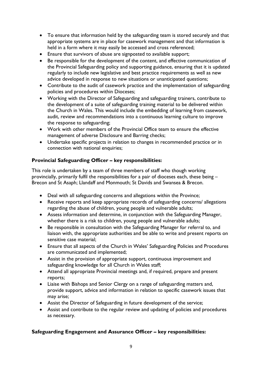- To ensure that information held by the safeguarding team is stored securely and that appropriate systems are in place for casework management and that information is held in a form where it may easily be accessed and cross referenced;
- Ensure that survivors of abuse are signposted to available support;
- Be responsible for the development of the content, and effective communication of the Provincial Safeguarding policy and supporting guidance, ensuring that it is updated regularly to include new legislative and best practice requirements as well as new advice developed in response to new situations or unanticipated questions;
- Contribute to the audit of casework practice and the implementation of safeguarding policies and procedures within Dioceses;
- Working with the Director of Safeguarding and safeguarding trainers, contribute to the development of a suite of safeguarding training material to be delivered within the Church in Wales. This would include the embedding of learning from casework, audit, review and recommendations into a continuous learning culture to improve the response to safeguarding;
- Work with other members of the Provincial Office team to ensure the effective management of adverse Disclosure and Barring checks;
- Undertake specific projects in relation to changes in recommended practice or in connection with national enquiries;

# **Provincial Safeguarding Officer – key responsibilities:**

This role is undertaken by a team of three members of staff who though working provincially, primarily fulfil the responsibilities for a pair of dioceses each, these being – Brecon and St Asaph; Llandaff and Monmouth; St Davids and Swansea & Brecon.

- Deal with all safeguarding concerns and allegations within the Province;
- Receive reports and keep appropriate records of safeguarding concerns/ allegations regarding the abuse of children, young people and vulnerable adults;
- Assess information and determine, in conjunction with the Safeguarding Manager, whether there is a risk to children, young people and vulnerable adults;
- Be responsible in consultation with the Safeguarding Manager for referral to, and liaison with, the appropriate authorities and be able to write and present reports on sensitive case material;
- Ensure that all aspects of the Church in Wales' Safeguarding Policies and Procedures are communicated and implemented;
- Assist in the provision of appropriate support, continuous improvement and safeguarding knowledge for all Church in Wales staff;
- Attend all appropriate Provincial meetings and, if required, prepare and present reports;
- Liaise with Bishops and Senior Clergy on a range of safeguarding matters and, provide support, advice and information in relation to specific casework issues that may arise;
- Assist the Director of Safeguarding in future development of the service;
- Assist and contribute to the regular review and updating of policies and procedures as necessary.

# **Safeguarding Engagement and Assurance Officer – key responsibilities:**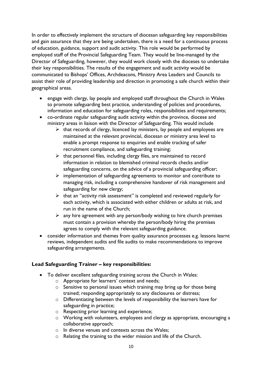In order to effectively implement the structure of diocesan safeguarding key responsibilities and gain assurance that they are being undertaken, there is a need for a continuous process of education, guidance, support and audit activity. This role would be performed by employed staff of the Provincial Safeguarding Team. They would be line-managed by the Director of Safeguarding, however, they would work closely with the dioceses to undertake their key responsibilities. The results of the engagement and audit activity would be communicated to Bishops' Offices, Archdeacons, Ministry Area Leaders and Councils to assist their role of providing leadership and direction in promoting a safe church within their geographical areas.

- engage with clergy, lay people and employed staff throughout the Church in Wales to promote safeguarding best practice, understanding of policies and procedures, information and education for safeguarding roles, responsibilities and requirements;
- co-ordinate regular safeguarding audit activity within the province, diocese and ministry areas in liaison with the Director of Safeguarding. This would include
	- $\triangleright$  that records of clergy, licenced lay ministers, lay people and employees are maintained at the relevant provincial, diocesan or ministry area level to enable a prompt response to enquiries and enable tracking of safer recruitment compliance, and safeguarding training;
	- $\triangleright$  that personnel files, including clergy files, are maintained to record information in relation to blemished criminal records checks and/or safeguarding concerns, on the advice of a provincial safeguarding officer;
	- $\triangleright$  implementation of safeguarding agreements to monitor and contribute to managing risk, including a comprehensive handover of risk management and safeguarding for new clergy;
	- $\triangleright$  that an "activity risk assessment" is completed and reviewed regularly for each activity, which is associated with either children or adults at risk, and run in the name of the Church;
	- $\triangleright$  any hire agreement with any person/body wishing to hire church premises must contain a provision whereby the person/body hiring the premises agrees to comply with the relevant safeguarding guidance.
- consider information and themes from quality assurance processes e.g. lessons learnt reviews, independent audits and file audits to make recommendations to improve safeguarding arrangements.

# **Lead Safeguarding Trainer – key responsibilities:**

- To deliver excellent safeguarding training across the Church in Wales:
	- o Appropriate for learners' context and needs;
	- o Sensitive to personal issues which training may bring up for those being trained; responding appropriately to any disclosures or distress;
	- o Differentiating between the levels of responsibility the learners have for safeguarding in practice;
	- o Respecting prior learning and experience;
	- o Working with volunteers, employees and clergy as appropriate, encouraging a collaborative approach;
	- o In diverse venues and contexts across the Wales;
	- o Relating the training to the wider mission and life of the Church.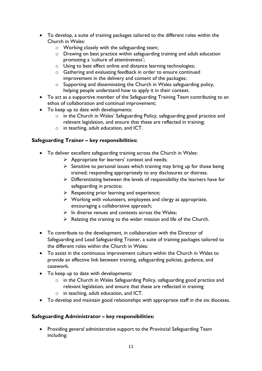- To develop, a suite of training packages tailored to the different roles within the Church in Wales:
	- o Working closely with the safeguarding team;
	- o Drawing on best practice within safeguarding training and adult education promoting a 'culture of attentiveness';
	- o Using to best effect online and distance learning technologies;
	- o Gathering and evaluating feedback in order to ensure continued improvement in the delivery and content of the packages;
	- o Supporting and disseminating the Church in Wales safeguarding policy, helping people understand how to apply it in their context.
- To act as a supportive member of the Safeguarding Training Team contributing to an ethos of collaboration and continual improvement;
- To keep up to date with developments:
	- o in the Church in Wales' Safeguarding Policy, safeguarding good practice and relevant legislation, and ensure that these are reflected in training;
	- o in teaching, adult education, and ICT.

#### **Safeguarding Trainer – key responsibilities:**

- To deliver excellent safeguarding training across the Church in Wales:
	- $\triangleright$  Appropriate for learners' context and needs;
	- $\triangleright$  Sensitive to personal issues which training may bring up for those being trained; responding appropriately to any disclosures or distress.
	- $\triangleright$  Differentiating between the levels of responsibility the learners have for safeguarding in practice;
	- $\triangleright$  Respecting prior learning and experience;
	- $\triangleright$  Working with volunteers, employees and clergy as appropriate, encouraging a collaborative approach;
	- $\triangleright$  In diverse venues and contexts across the Wales;
	- $\triangleright$  Relating the training to the wider mission and life of the Church.
- To contribute to the development, in collaboration with the Director of Safeguarding and Lead Safeguarding Trainer, a suite of training packages tailored to the different roles within the Church in Wales:
- To assist in the continuous improvement culture within the Church in Wales to provide an effective link between training, safeguarding policies, guidance, and casework.
- To keep up to date with developments:
	- o in the Church in Wales Safeguarding Policy, safeguarding good practice and relevant legislation, and ensure that these are reflected in training
	- o in teaching, adult education, and ICT.
- To develop and maintain good relationships with appropriate staff in the six dioceses.

#### **Safeguarding Administrator – key responsibilities:**

• Providing general administrative support to the Provincial Safeguarding Team including: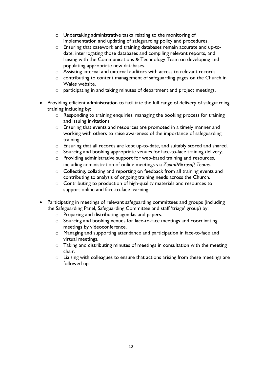- o Undertaking administrative tasks relating to the monitoring of implementation and updating of safeguarding policy and procedures.
- o Ensuring that casework and training databases remain accurate and up-todate, interrogating those databases and compiling relevant reports, and liaising with the Communications & Technology Team on developing and populating appropriate new databases.
- o Assisting internal and external auditors with access to relevant records.
- o contributing to content management of safeguarding pages on the Church in Wales website.
- o participating in and taking minutes of department and project meetings.
- Providing efficient administration to facilitate the full range of delivery of safeguarding training including by:
	- o Responding to training enquiries, managing the booking process for training and issuing invitations
	- o Ensuring that events and resources are promoted in a timely manner and working with others to raise awareness of the importance of safeguarding training.
	- o Ensuring that all records are kept up-to-date, and suitably stored and shared.
	- o Sourcing and booking appropriate venues for face-to-face training delivery.
	- o Providing administrative support for web-based training and resources, including administration of online meetings via *Zoom*/*Microsoft Teams*.
	- o Collecting, collating and reporting on feedback from all training events and contributing to analysis of ongoing training needs across the Church.
	- o Contributing to production of high-quality materials and resources to support online and face-to-face learning.
- Participating in meetings of relevant safeguarding committees and groups (including the Safeguarding Panel, Safeguarding Committee and staff 'triage' group) by:
	- o Preparing and distributing agendas and papers.
	- o Sourcing and booking venues for face-to-face meetings and coordinating meetings by videoconference.
	- o Managing and supporting attendance and participation in face-to-face and virtual meetings.
	- o Taking and distributing minutes of meetings in consultation with the meeting chair.
	- o Liaising with colleagues to ensure that actions arising from these meetings are followed up.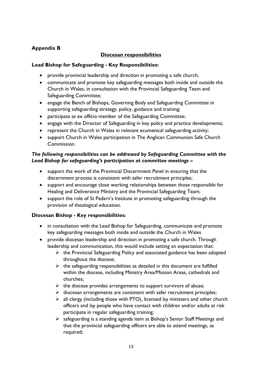# <span id="page-13-0"></span>**Appendix B**

### **Diocesan responsibilities**

#### **Lead Bishop for Safeguarding - Key Responsibilities:**

- provide provincial leadership and direction in promoting a safe church;
- communicate and promote key safeguarding messages both inside and outside the Church in Wales, in consultation with the Provincial Safeguarding Team and Safeguarding Committee;
- engage the Bench of Bishops, Governing Body and Safeguarding Committee in supporting safeguarding strategy, policy, guidance and training;
- participate as ex officio member of the Safeguarding Committee;
- engage with the Director of Safeguarding in key policy and practice developments;
- represent the Church in Wales in relevant ecumenical safeguarding activity;
- support Church in Wales participation in The Anglican Communion Safe Church Commission.

# *The following responsibilities can be addressed by Safeguarding Committee with the Lead Bishop for safeguarding's participation at committee meetings –*

- support the work of the Provincial Discernment Panel in ensuring that the discernment process is consistent with safer recruitment principles;
- support and encourage close working relationships between those responsible for Healing and Deliverance Ministry and the Provincial Safeguarding Team;
- support the role of St Padarn's Institute in promoting safeguarding through the provision of theological education.

# **Diocesan Bishop - Key responsibilities:**

- in consultation with the Lead Bishop for Safeguarding, communicate and promote key safeguarding messages both inside and outside the Church in Wales
- provide diocesan leadership and direction in promoting a safe church. Through leadership and communication, this would include setting an expectation that:
	- $\triangleright$  the Provincial Safeguarding Policy and associated guidance has been adopted throughout the diocese;
	- $\triangleright$  the safeguarding responsibilities as detailed in this document are fulfilled within the diocese, including Ministry Area/Mission Areas, cathedrals and churches;
	- $\triangleright$  the diocese provides arrangements to support survivors of abuse;
	- $\triangleright$  diocesan arrangements are consistent with safer recruitment principles;
	- $\triangleright$  all clergy (including those with PTO), licensed lay ministers and other church officers and lay people who have contact with children and/or adults at risk participate in regular safeguarding training;
	- $\triangleright$  safeguarding is a standing agenda item at Bishop's Senior Staff Meetings and that the provincial safeguarding officers are able to attend meetings, as required;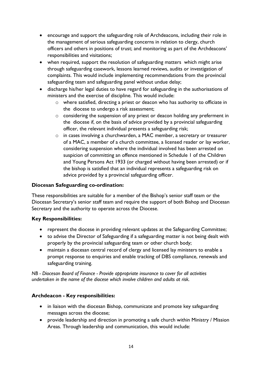- encourage and support the safeguarding role of Archdeacons, including their role in the management of serious safeguarding concerns in relation to clergy, church officers and others in positions of trust; and monitoring as part of the Archdeacons' responsibilities and visitations;
- when required, support the resolution of safeguarding matters which might arise through safeguarding casework, lessons learned reviews, audits or investigation of complaints. This would include implementing recommendations from the provincial safeguarding team and safeguarding panel without undue delay;
- discharge his/her legal duties to have regard for safeguarding in the authorisations of ministers and the exercise of discipline. This would include:
	- o where satisfied, directing a priest or deacon who has authority to officiate in the diocese to undergo a risk assessment;
	- o considering the suspension of any priest or deacon holding any preferment in the diocese if, on the basis of advice provided by a provincial safeguarding officer, the relevant individual presents a safeguarding risk;
	- o in cases involving a churchwarden, a MAC member, a secretary or treasurer of a MAC, a member of a church committee, a licensed reader or lay worker, considering suspension where the individual involved has been arrested on suspicion of committing an offence mentioned in Schedule 1 of the Children and Young Persons Act 1933 (or charged without having been arrested) or if the bishop is satisfied that an individual represents a safeguarding risk on advice provided by a provincial safeguarding officer.

# **Diocesan Safeguarding co-ordination:**

These responsibilities are suitable for a member of the Bishop's senior staff team or the Diocesan Secretary's senior staff team and require the support of both Bishop and Diocesan Secretary and the authority to operate across the Diocese.

#### **Key Responsibilities:**

- represent the diocese in providing relevant updates at the Safeguarding Committee;
- to advise the Director of Safeguarding if a safeguarding matter is not being dealt with properly by the provincial safeguarding team or other church body;
- maintain a diocesan central record of clergy and licensed lay ministers to enable a prompt response to enquiries and enable tracking of DBS compliance, renewals and safeguarding training.

*NB - Diocesan Board of Finance - Provide appropriate insurance to cover for all activities undertaken in the name of the diocese which involve children and adults at risk.*

# **Archdeacon - Key responsibilities:**

- in liaison with the diocesan Bishop, communicate and promote key safeguarding messages across the diocese;
- provide leadership and direction in promoting a safe church within Ministry / Mission Areas. Through leadership and communication, this would include: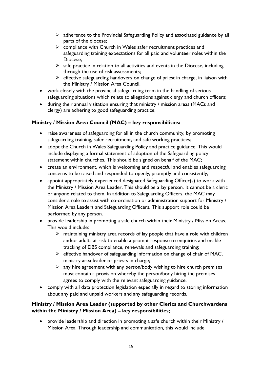- $\triangleright$  adherence to the Provincial Safeguarding Policy and associated guidance by all parts of the diocese;
- $\triangleright$  compliance with Church in Wales safer recruitment practices and safeguarding training expectations for all paid and volunteer roles within the Diocese;
- $\triangleright$  safe practice in relation to all activities and events in the Diocese, including through the use of risk assessments;
- $\triangleright$  effective safeguarding handovers on change of priest in charge, in liaison with the Ministry / Mission Area Council.
- work closely with the provincial safeguarding team in the handling of serious safeguarding situations which relate to allegations against clergy and church officers;
- during their annual visitation ensuring that ministry / mission areas (MACs and clergy) are adhering to good safeguarding practice;

# **Ministry / Mission Area Council (MAC) – key responsibilities:**

- raise awareness of safeguarding for all in the church community, by promoting safeguarding training, safer recruitment, and safe working practices;
- adopt the Church in Wales Safeguarding Policy and practice guidance. This would include displaying a formal statement of adoption of the Safeguarding policy statement within churches. This should be signed on behalf of the MAC;
- create an environment, which is welcoming and respectful and enables safeguarding concerns to be raised and responded to openly, promptly and consistently;
- appoint appropriately experienced designated Safeguarding Officer(s) to work with the Ministry / Mission Area Leader. This should be a lay person. It cannot be a cleric or anyone related to them. In addition to Safeguarding Officers, the MAC may consider a role to assist with co-ordination or administration support for Ministry / Mission Area Leaders and Safeguarding Officers. This support role could be performed by any person.
- provide leadership in promoting a safe church within their Ministry / Mission Areas. This would include:
	- $\triangleright$  maintaining ministry area records of lay people that have a role with children and/or adults at risk to enable a prompt response to enquiries and enable tracking of DBS compliance, renewals and safeguarding training;
	- $\triangleright$  effective handover of safeguarding information on change of chair of MAC, ministry area leader or priests in charge;
	- $\triangleright$  any hire agreement with any person/body wishing to hire church premises must contain a provision whereby the person/body hiring the premises agrees to comply with the relevant safeguarding guidance.
- comply with all data protection legislation especially in regard to storing information about any paid and unpaid workers and any safeguarding records.

# **Ministry / Mission Area Leader (supported by other Clerics and Churchwardens within the Ministry / Mission Area) – key responsibilities;**

• provide leadership and direction in promoting a safe church within their Ministry / Mission Area. Through leadership and communication, this would include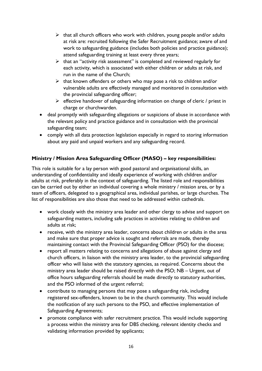- $\triangleright$  that all church officers who work with children, young people and/or adults at risk are: recruited following the Safer Recruitment guidance; aware of and work to safeguarding guidance (includes both policies and practice guidance); attend safeguarding training at least every three years;
- $\triangleright$  that an "activity risk assessment" is completed and reviewed regularly for each activity, which is associated with either children or adults at risk, and run in the name of the Church;
- $\triangleright$  that known offenders or others who may pose a risk to children and/or vulnerable adults are effectively managed and monitored in consultation with the provincial safeguarding officer;
- $\triangleright$  effective handover of safeguarding information on change of cleric / priest in charge or churchwarden.
- deal promptly with safeguarding allegations or suspicions of abuse in accordance with the relevant policy and practice guidance and in consultation with the provincial safeguarding team;
- comply with all data protection legislation especially in regard to storing information about any paid and unpaid workers and any safeguarding record.

# **Ministry / Mission Area Safeguarding Officer (MASO) – key responsibilities:**

This role is suitable for a lay person with good pastoral and organisational skills, an understanding of confidentiality and ideally experience of working with children and/or adults at risk, preferably in the context of safeguarding. The listed role and responsibilities can be carried out by either an individual covering a whole ministry / mission area, or by a team of officers, delegated to a geographical area, individual parishes, or large churches. The list of responsibilities are also those that need to be addressed within cathedrals.

- work closely with the ministry area leader and other clergy to advise and support on safeguarding matters, including safe practices in activities relating to children and adults at risk;
- receive, with the ministry area leader, concerns about children or adults in the area and make sure that proper advice is sought and referrals are made, thereby maintaining contact with the Provincial Safeguarding Officer (PSO) for the diocese;
- report all matters relating to concerns and allegations of abuse against clergy and church officers, in liaison with the ministry area leader, to the provincial safeguarding officer who will liaise with the statutory agencies, as required. Concerns about the ministry area leader should be raised directly with the PSO; NB – Urgent, out of office hours safeguarding referrals should be made directly to statutory authorities, and the PSO informed of the urgent referral;
- contribute to managing persons that may pose a safeguarding risk, including registered sex-offenders, known to be in the church community. This would include the notification of any such persons to the PSO, and effective implementation of Safeguarding Agreements;
- promote compliance with safer recruitment practice. This would include supporting a process within the ministry area for DBS checking, relevant identity checks and validating information provided by applicants;